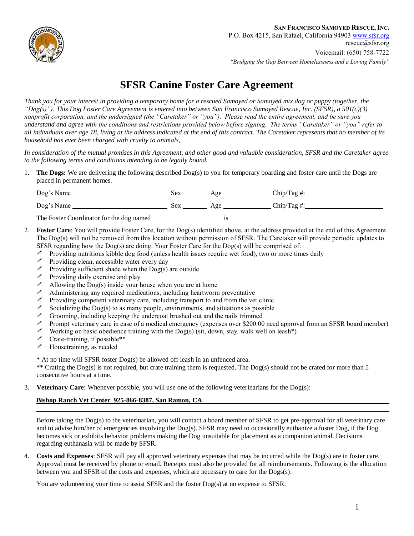

## **SFSR Canine Foster Care Agreement**

*Thank you for your interest in providing a temporary home for a rescued Samoyed or Samoyed mix dog or puppy (together, the "Dog(s)"). This Dog Foster Care Agreement is entered into between San Francisco Samoyed Rescue, Inc. (SFSR), a 501(c)(3) nonprofit corporation, and the undersigned (the "Caretaker" or "you"). Please read the entire agreement, and be sure you understand and agree with the conditions and restrictions provided below before signing. The terms "Caretaker" or "you" refer to all individuals over age 18, living at the address indicated at the end of this contract. The Caretaker represents that no member of its household has ever been charged with cruelty to animals,* 

*In consideration of the mutual promises in this Agreement, and other good and valuable consideration, SFSR and the Caretaker agree to the following terms and conditions intending to be legally bound.* 

1. **The Dogs:** We are delivering the following described Dog(s) to you for temporary boarding and foster care until the Dogs are placed in permanent homes.

| Dog's Name                               | sex | Age | $Chip/Tag$ #:   |
|------------------------------------------|-----|-----|-----------------|
| Dog's Name                               | Sex | Age | $Chip/Tag \#$ : |
| The Foster Coordinator for the dog named |     | 10  |                 |

- 2. **Foster Care**: You will provide Foster Care, for the Dog(s) identified above, at the address provided at the end of this Agreement. The Dog(s) will not be removed from this location without permission of SFSR. The Caretaker will provide periodic updates to SFSR regarding how the Dog(s) are doing. Your Foster Care for the Dog(s) will be comprised of:
	- ! Providing nutritious kibble dog food (unless health issues require wet food), two or more times daily
	- ! Providing clean, accessible water every day
	- Providing sufficient shade when the  $\text{Dog}(s)$  are outside
	- $\mathscr P$  Providing daily exercise and play
	- $\mathscr I$  Allowing the Dog(s) inside your house when you are at home
	- $\mathscr I$  Administering any required medications, including heartworm preventative
	- $\mathscr P$  Providing competent veterinary care, including transport to and from the vet clinic
	- $\mathscr S$  Socializing the Dog(s) to as many people, environments, and situations as possible
	- ! Grooming, including keeping the undercoat brushed out and the nails trimmed
	- ! Prompt veterinary care in case of a medical emergency (expenses over \$200.00 need approval from an SFSR board member)
	- $\mathscr N$  Working on basic obedience training with the Dog(s) (sit, down, stay. walk well on leash\*)
	- $\mathscr{I}$  Crate-training, if possible\*\*
	- $\mathscr I$  Housetraining, as needed

\* At no time will SFSR foster Dog(s) be allowed off leash in an unfenced area.

\*\* Crating the Dog(s) is not required, but crate training them is requested. The Dog(s) should not be crated for more than 5 consecutive hours at a time.

3. **Veterinary Care**: Whenever possible, you will use one of the following veterinarians for the Dog(s):

## **Bishop Ranch Vet Center 925-866-8387, San Ramon, CA**

Before taking the Dog(s) to the veterinarian, you will contact a board member of SFSR to get pre-approval for all veterinary care and to advise him/her of emergencies involving the Dog(s). SFSR may need to occasionally euthanize a foster Dog, if the Dog becomes sick or exhibits behavior problems making the Dog unsuitable for placement as a companion animal. Decisions regarding euthanasia will be made by SFSR.

4. **Costs and Expenses**: SFSR will pay all approved veterinary expenses that may be incurred while the Dog(s) are in foster care. Approval must be received by phone or email. Receipts must also be provided for all reimbursements. Following is the allocation between you and SFSR of the costs and expenses, which are necessary to care for the Dogs(s):

You are volunteering your time to assist SFSR and the foster Dog(s) at no expense to SFSR.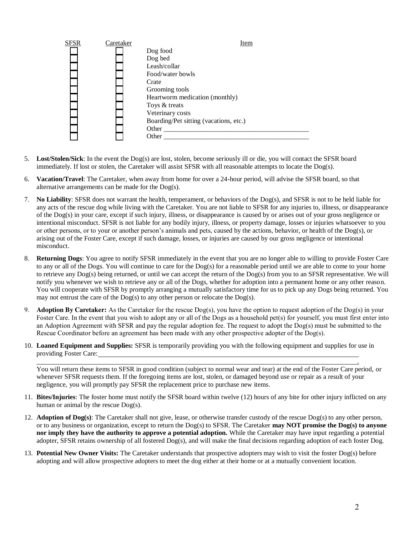

- 5. **Lost/Stolen/Sick**: In the event the Dog(s) are lost, stolen, become seriously ill or die, you will contact the SFSR board immediately. If lost or stolen, the Caretaker will assist SFSR with all reasonable attempts to locate the Dog(s).
- 6. **Vacation/Travel**: The Caretaker, when away from home for over a 24-hour period, will advise the SFSR board, so that alternative arrangements can be made for the Dog(s).
- 7. **No Liability**: SFSR does not warrant the health, temperament, or behaviors of the Dog(s), and SFSR is not to be held liable for any acts of the rescue dog while living with the Caretaker. You are not liable to SFSR for any injuries to, illness, or disappearance of the Dog(s) in your care, except if such injury, illness, or disappearance is caused by or arises out of your gross negligence or intentional misconduct. SFSR is not liable for any bodily injury, illness, or property damage, losses or injuries whatsoever to you or other persons, or to your or another person's animals and pets, caused by the actions, behavior, or health of the Dog(s), or arising out of the Foster Care, except if such damage, losses, or injuries are caused by our gross negligence or intentional misconduct.
- 8. **Returning Dogs**: You agree to notify SFSR immediately in the event that you are no longer able to willing to provide Foster Care to any or all of the Dogs. You will continue to care for the Dog(s) for a reasonable period until we are able to come to your home to retrieve any Dog(s) being returned, or until we can accept the return of the Dog(s) from you to an SFSR representative. We will notify you whenever we wish to retrieve any or all of the Dogs, whether for adoption into a permanent home or any other reason. You will cooperate with SFSR by promptly arranging a mutually satisfactory time for us to pick up any Dogs being returned. You may not entrust the care of the Dog(s) to any other person or relocate the Dog(s).
- 9. **Adoption By Caretaker:** As the Caretaker for the rescue Dog(s), you have the option to request adoption of the Dog(s) in your Foster Care. In the event that you wish to adopt any or all of the Dogs as a household pet(s) for yourself, you must first enter into an Adoption Agreement with SFSR and pay the regular adoption fee. The request to adopt the Dog(s) must be submitted to the Rescue Coordinator before an agreement has been made with any other prospective adopter of the Dog(s).
- 10. **Loaned Equipment and Supplies:** SFSR is temporarily providing you with the following equipment and supplies for use in providing Foster Care:

You will return these items to SFSR in good condition (subject to normal wear and tear) at the end of the Foster Care period, or whenever SFSR requests them. If the foregoing items are lost, stolen, or damaged beyond use or repair as a result of your negligence, you will promptly pay SFSR the replacement price to purchase new items.

- 11. **Bites/Injuries**: The foster home must notify the SFSR board within twelve (12) hours of any bite for other injury inflicted on any human or animal by the rescue Dog(s).
- 12. **Adoption of Dog(s)**: The Caretaker shall not give, lease, or otherwise transfer custody of the rescue Dog(s) to any other person, or to any business or organization, except to return the Dog(s) to SFSR. The Caretaker **may NOT promise the Dog(s) to anyone nor imply they have the authority to approve a potential adoption.** While the Caretaker may have input regarding a potential adopter, SFSR retains ownership of all fostered Dog(s), and will make the final decisions regarding adoption of each foster Dog.
- 13. **Potential New Owner Visits:** The Caretaker understands that prospective adopters may wish to visit the foster Dog(s) before adopting and will allow prospective adopters to meet the dog either at their home or at a mutually convenient location.

.